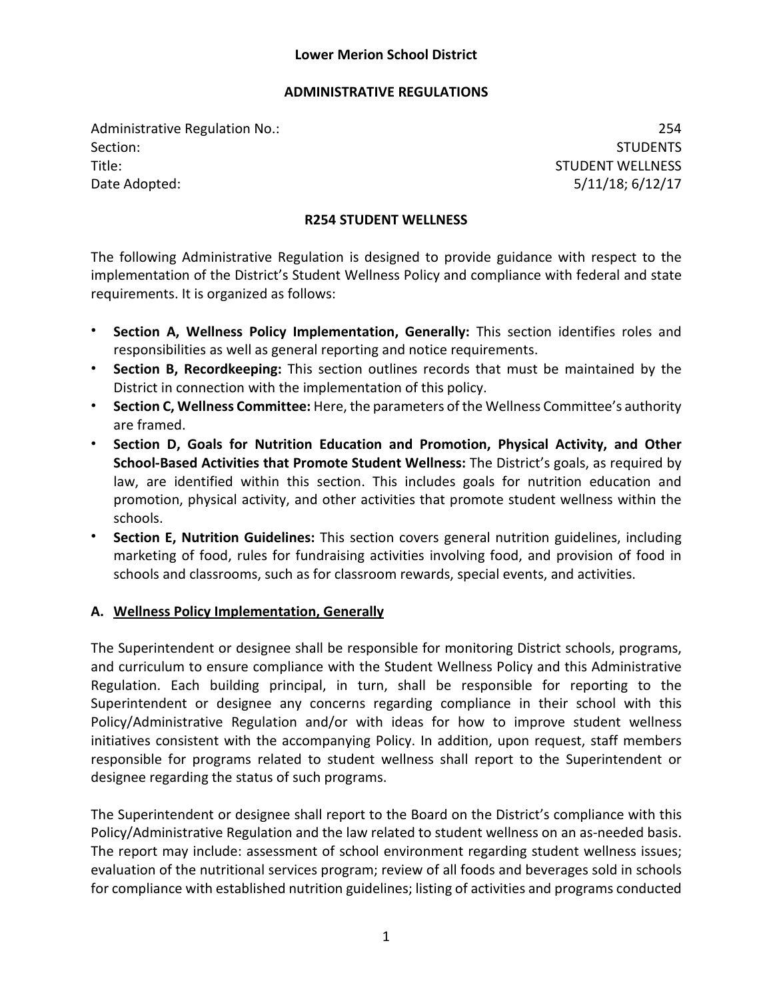#### **ADMINISTRATIVE REGULATIONS**

Administrative Regulation No.: 254 Section: Studies and Studies and Studies and Studies and Studies and Studies and Studies and Studies and Studies Title: STUDENT WELLNESS Date Adopted: 5/11/18; 6/12/17

### **R254 STUDENT WELLNESS**

The following Administrative Regulation is designed to provide guidance with respect to the implementation of the District's Student Wellness Policy and compliance with federal and state requirements. It is organized as follows:

- **Section A, Wellness Policy Implementation, Generally:** This section identifies roles and responsibilities as well as general reporting and notice requirements.
- **Section B, Recordkeeping:** This section outlines records that must be maintained by the District in connection with the implementation of this policy.
- **Section C, Wellness Committee:** Here, the parameters of the Wellness Committee's authority are framed.
- **Section D, Goals for Nutrition Education and Promotion, Physical Activity, and Other School-Based Activities that Promote Student Wellness:** The District's goals, as required by law, are identified within this section. This includes goals for nutrition education and promotion, physical activity, and other activities that promote student wellness within the schools.
- **Section E, Nutrition Guidelines:** This section covers general nutrition guidelines, including marketing of food, rules for fundraising activities involving food, and provision of food in schools and classrooms, such as for classroom rewards, special events, and activities.

## **A. Wellness Policy Implementation, Generally**

The Superintendent or designee shall be responsible for monitoring District schools, programs, and curriculum to ensure compliance with the Student Wellness Policy and this Administrative Regulation. Each building principal, in turn, shall be responsible for reporting to the Superintendent or designee any concerns regarding compliance in their school with this Policy/Administrative Regulation and/or with ideas for how to improve student wellness initiatives consistent with the accompanying Policy. In addition, upon request, staff members responsible for programs related to student wellness shall report to the Superintendent or designee regarding the status of such programs.

The Superintendent or designee shall report to the Board on the District's compliance with this Policy/Administrative Regulation and the law related to student wellness on an as-needed basis. The report may include: assessment of school environment regarding student wellness issues; evaluation of the nutritional services program; review of all foods and beverages sold in schools for compliance with established nutrition guidelines; listing of activities and programs conducted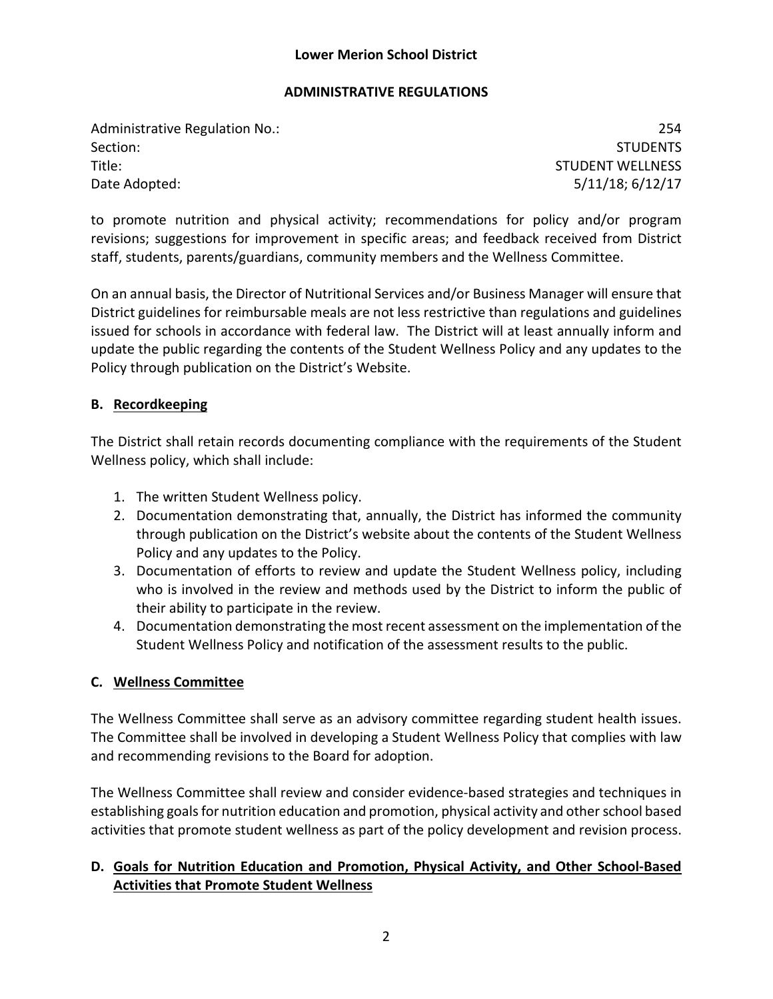#### **ADMINISTRATIVE REGULATIONS**

Administrative Regulation No.: 254 Section: Studies and Studies and Studies and Studies and Studies and Studies and Studies and Studies and Studies Title: STUDENT WELLNESS Date Adopted: 5/11/18; 6/12/17

to promote nutrition and physical activity; recommendations for policy and/or program revisions; suggestions for improvement in specific areas; and feedback received from District staff, students, parents/guardians, community members and the Wellness Committee.

On an annual basis, the Director of Nutritional Services and/or Business Manager will ensure that District guidelines for reimbursable meals are not less restrictive than regulations and guidelines issued for schools in accordance with federal law. The District will at least annually inform and update the public regarding the contents of the Student Wellness Policy and any updates to the Policy through publication on the District's Website.

# **B. Recordkeeping**

The District shall retain records documenting compliance with the requirements of the Student Wellness policy, which shall include:

- 1. The written Student Wellness policy.
- 2. Documentation demonstrating that, annually, the District has informed the community through publication on the District's website about the contents of the Student Wellness Policy and any updates to the Policy.
- 3. Documentation of efforts to review and update the Student Wellness policy, including who is involved in the review and methods used by the District to inform the public of their ability to participate in the review.
- 4. Documentation demonstrating the most recent assessment on the implementation of the Student Wellness Policy and notification of the assessment results to the public.

## **C. Wellness Committee**

The Wellness Committee shall serve as an advisory committee regarding student health issues. The Committee shall be involved in developing a Student Wellness Policy that complies with law and recommending revisions to the Board for adoption.

The Wellness Committee shall review and consider evidence-based strategies and techniques in establishing goals for nutrition education and promotion, physical activity and other school based activities that promote student wellness as part of the policy development and revision process.

# **D. Goals for Nutrition Education and Promotion, Physical Activity, and Other School-Based Activities that Promote Student Wellness**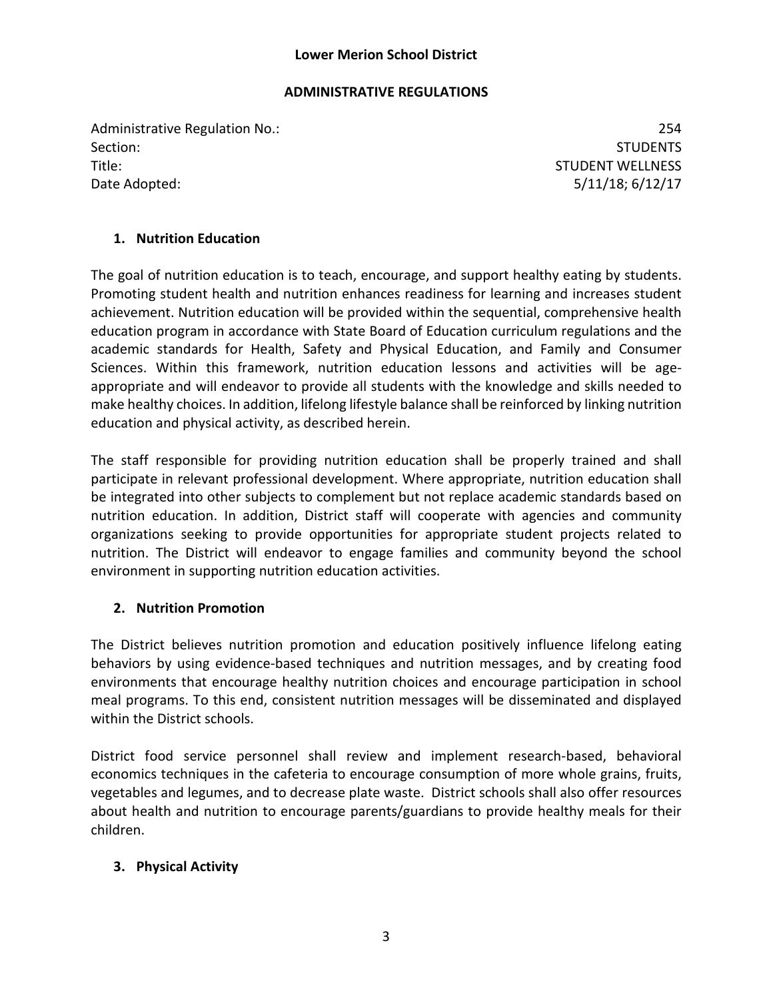### **ADMINISTRATIVE REGULATIONS**

Administrative Regulation No.: 254 Section: Studies and Studies and Studies and Studies and Studies and Studies and Studies and Studies and Studies Title: STUDENT WELLNESS Date Adopted: 5/11/18; 6/12/17

# **1. Nutrition Education**

The goal of nutrition education is to teach, encourage, and support healthy eating by students. Promoting student health and nutrition enhances readiness for learning and increases student achievement. Nutrition education will be provided within the sequential, comprehensive health education program in accordance with State Board of Education curriculum regulations and the academic standards for Health, Safety and Physical Education, and Family and Consumer Sciences. Within this framework, nutrition education lessons and activities will be ageappropriate and will endeavor to provide all students with the knowledge and skills needed to make healthy choices. In addition, lifelong lifestyle balance shall be reinforced by linking nutrition education and physical activity, as described herein.

The staff responsible for providing nutrition education shall be properly trained and shall participate in relevant professional development. Where appropriate, nutrition education shall be integrated into other subjects to complement but not replace academic standards based on nutrition education. In addition, District staff will cooperate with agencies and community organizations seeking to provide opportunities for appropriate student projects related to nutrition. The District will endeavor to engage families and community beyond the school environment in supporting nutrition education activities.

# **2. Nutrition Promotion**

The District believes nutrition promotion and education positively influence lifelong eating behaviors by using evidence-based techniques and nutrition messages, and by creating food environments that encourage healthy nutrition choices and encourage participation in school meal programs. To this end, consistent nutrition messages will be disseminated and displayed within the District schools.

District food service personnel shall review and implement research-based, behavioral economics techniques in the cafeteria to encourage consumption of more whole grains, fruits, vegetables and legumes, and to decrease plate waste. District schools shall also offer resources about health and nutrition to encourage parents/guardians to provide healthy meals for their children.

# **3. Physical Activity**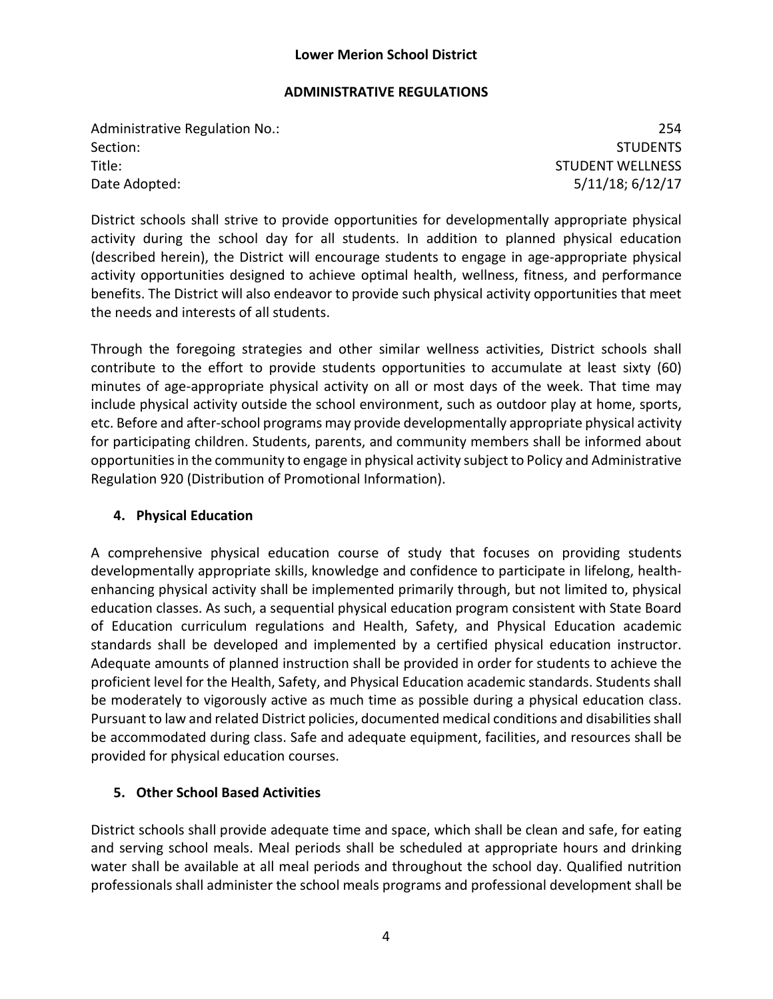#### **ADMINISTRATIVE REGULATIONS**

Administrative Regulation No.: 254 Section: Studies and Studies and Studies and Studies and Studies and Studies and Studies and Studies and Studies Title: STUDENT WELLNESS Date Adopted: 5/11/18; 6/12/17

District schools shall strive to provide opportunities for developmentally appropriate physical activity during the school day for all students. In addition to planned physical education (described herein), the District will encourage students to engage in age-appropriate physical activity opportunities designed to achieve optimal health, wellness, fitness, and performance benefits. The District will also endeavor to provide such physical activity opportunities that meet the needs and interests of all students.

Through the foregoing strategies and other similar wellness activities, District schools shall contribute to the effort to provide students opportunities to accumulate at least sixty (60) minutes of age-appropriate physical activity on all or most days of the week. That time may include physical activity outside the school environment, such as outdoor play at home, sports, etc. Before and after-school programs may provide developmentally appropriate physical activity for participating children. Students, parents, and community members shall be informed about opportunities in the community to engage in physical activity subject to Policy and Administrative Regulation 920 (Distribution of Promotional Information).

## **4. Physical Education**

A comprehensive physical education course of study that focuses on providing students developmentally appropriate skills, knowledge and confidence to participate in lifelong, healthenhancing physical activity shall be implemented primarily through, but not limited to, physical education classes. As such, a sequential physical education program consistent with State Board of Education curriculum regulations and Health, Safety, and Physical Education academic standards shall be developed and implemented by a certified physical education instructor. Adequate amounts of planned instruction shall be provided in order for students to achieve the proficient level for the Health, Safety, and Physical Education academic standards. Students shall be moderately to vigorously active as much time as possible during a physical education class. Pursuant to law and related District policies, documented medical conditions and disabilities shall be accommodated during class. Safe and adequate equipment, facilities, and resources shall be provided for physical education courses.

# **5. Other School Based Activities**

District schools shall provide adequate time and space, which shall be clean and safe, for eating and serving school meals. Meal periods shall be scheduled at appropriate hours and drinking water shall be available at all meal periods and throughout the school day. Qualified nutrition professionals shall administer the school meals programs and professional development shall be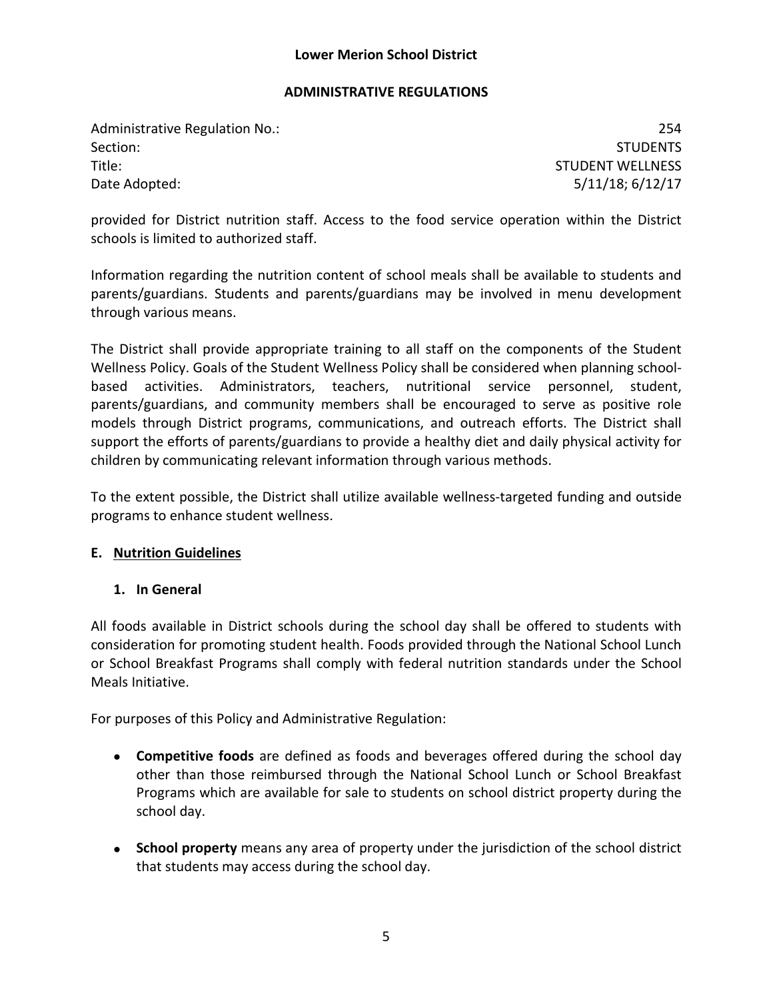#### **ADMINISTRATIVE REGULATIONS**

Administrative Regulation No.: 254 Section: Studies and Studies and Studies and Studies and Studies and Studies and Studies and Studies and Studies Title: STUDENT WELLNESS Date Adopted: 5/11/18; 6/12/17

provided for District nutrition staff. Access to the food service operation within the District schools is limited to authorized staff.

Information regarding the nutrition content of school meals shall be available to students and parents/guardians. Students and parents/guardians may be involved in menu development through various means.

The District shall provide appropriate training to all staff on the components of the Student Wellness Policy. Goals of the Student Wellness Policy shall be considered when planning schoolbased activities. Administrators, teachers, nutritional service personnel, student, parents/guardians, and community members shall be encouraged to serve as positive role models through District programs, communications, and outreach efforts. The District shall support the efforts of parents/guardians to provide a healthy diet and daily physical activity for children by communicating relevant information through various methods.

To the extent possible, the District shall utilize available wellness-targeted funding and outside programs to enhance student wellness.

## **E. Nutrition Guidelines**

## **1. In General**

All foods available in District schools during the school day shall be offered to students with consideration for promoting student health. Foods provided through the National School Lunch or School Breakfast Programs shall comply with federal nutrition standards under the School Meals Initiative.

For purposes of this Policy and Administrative Regulation:

- **Competitive foods** are defined as foods and beverages offered during the school day other than those reimbursed through the National School Lunch or School Breakfast Programs which are available for sale to students on school district property during the school day.
- **School property** means any area of property under the jurisdiction of the school district that students may access during the school day.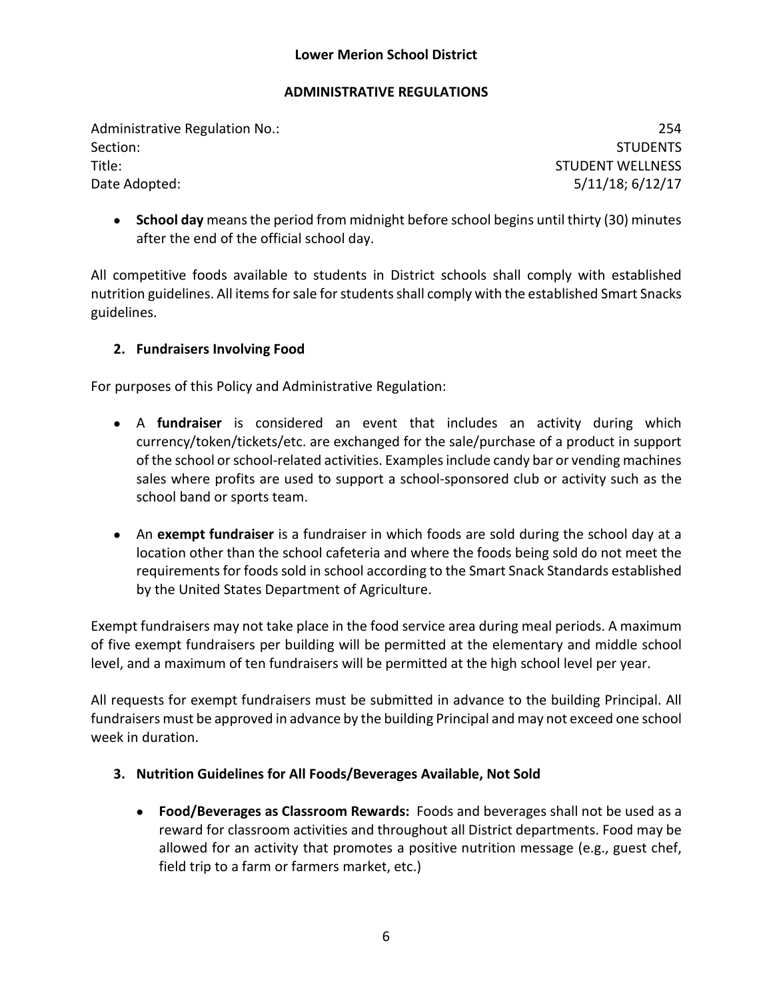## **ADMINISTRATIVE REGULATIONS**

Administrative Regulation No.: 254 Section: Studies and Studies and Studies and Studies and Studies and Studies and Studies and Studies and Studies Title: STUDENT WELLNESS Date Adopted: 5/11/18; 6/12/17

• **School day** means the period from midnight before school begins until thirty (30) minutes after the end of the official school day.

All competitive foods available to students in District schools shall comply with established nutrition guidelines. All items for sale for students shall comply with the established Smart Snacks guidelines.

# **2. Fundraisers Involving Food**

For purposes of this Policy and Administrative Regulation:

- A **fundraiser** is considered an event that includes an activity during which currency/token/tickets/etc. are exchanged for the sale/purchase of a product in support of the school or school-related activities. Examples include candy bar or vending machines sales where profits are used to support a school-sponsored club or activity such as the school band or sports team.
- An **exempt fundraiser** is a fundraiser in which foods are sold during the school day at a location other than the school cafeteria and where the foods being sold do not meet the requirements for foods sold in school according to the Smart Snack Standards established by the United States Department of Agriculture.

Exempt fundraisers may not take place in the food service area during meal periods. A maximum of five exempt fundraisers per building will be permitted at the elementary and middle school level, and a maximum of ten fundraisers will be permitted at the high school level per year.

All requests for exempt fundraisers must be submitted in advance to the building Principal. All fundraisers must be approved in advance by the building Principal and may not exceed one school week in duration.

- **3. Nutrition Guidelines for All Foods/Beverages Available, Not Sold**
	- **Food/Beverages as Classroom Rewards:** Foods and beverages shall not be used as a reward for classroom activities and throughout all District departments. Food may be allowed for an activity that promotes a positive nutrition message (e.g., guest chef, field trip to a farm or farmers market, etc.)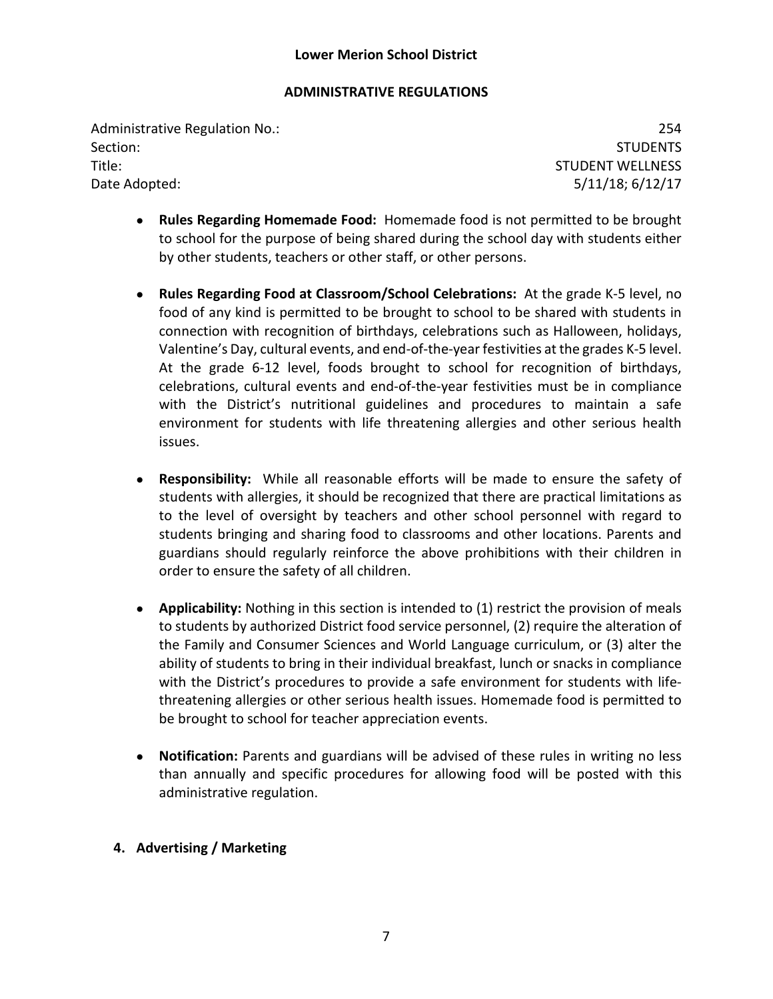## **ADMINISTRATIVE REGULATIONS**

Administrative Regulation No.: 254 Section: Studies and Studies and Studies and Studies and Studies and Studies and Studies and Studies and Studies Title: STUDENT WELLNESS Date Adopted: 5/11/18; 6/12/17

- **Rules Regarding Homemade Food:** Homemade food is not permitted to be brought to school for the purpose of being shared during the school day with students either by other students, teachers or other staff, or other persons.
- **Rules Regarding Food at Classroom/School Celebrations:** At the grade K-5 level, no food of any kind is permitted to be brought to school to be shared with students in connection with recognition of birthdays, celebrations such as Halloween, holidays, Valentine's Day, cultural events, and end-of-the-year festivities at the grades K-5 level. At the grade 6-12 level, foods brought to school for recognition of birthdays, celebrations, cultural events and end-of-the-year festivities must be in compliance with the District's nutritional guidelines and procedures to maintain a safe environment for students with life threatening allergies and other serious health issues.
- **Responsibility:** While all reasonable efforts will be made to ensure the safety of students with allergies, it should be recognized that there are practical limitations as to the level of oversight by teachers and other school personnel with regard to students bringing and sharing food to classrooms and other locations. Parents and guardians should regularly reinforce the above prohibitions with their children in order to ensure the safety of all children.
- **Applicability:** Nothing in this section is intended to (1) restrict the provision of meals to students by authorized District food service personnel, (2) require the alteration of the Family and Consumer Sciences and World Language curriculum, or (3) alter the ability of students to bring in their individual breakfast, lunch or snacks in compliance with the District's procedures to provide a safe environment for students with lifethreatening allergies or other serious health issues. Homemade food is permitted to be brought to school for teacher appreciation events.
- **Notification:** Parents and guardians will be advised of these rules in writing no less than annually and specific procedures for allowing food will be posted with this administrative regulation.
- **4. Advertising / Marketing**